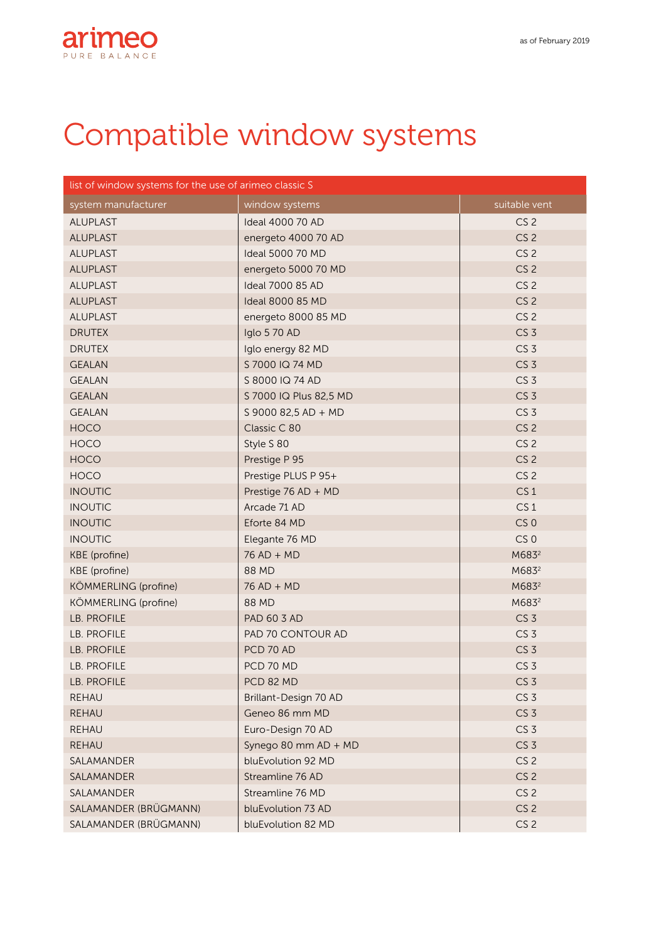

## Compatible window systems

| list of window systems for the use of arimeo classic S |                        |                   |  |
|--------------------------------------------------------|------------------------|-------------------|--|
| system manufacturer                                    | window systems         | suitable vent     |  |
| <b>ALUPLAST</b>                                        | Ideal 4000 70 AD       | CS <sub>2</sub>   |  |
| <b>ALUPLAST</b>                                        | energeto 4000 70 AD    | CS <sub>2</sub>   |  |
| <b>ALUPLAST</b>                                        | Ideal 5000 70 MD       | CS <sub>2</sub>   |  |
| <b>ALUPLAST</b>                                        | energeto 5000 70 MD    | CS <sub>2</sub>   |  |
| <b>ALUPLAST</b>                                        | Ideal 7000 85 AD       | CS <sub>2</sub>   |  |
| <b>ALUPLAST</b>                                        | Ideal 8000 85 MD       | CS <sub>2</sub>   |  |
| <b>ALUPLAST</b>                                        | energeto 8000 85 MD    | CS <sub>2</sub>   |  |
| <b>DRUTEX</b>                                          | <b>Iglo 5 70 AD</b>    | CS <sub>3</sub>   |  |
| <b>DRUTEX</b>                                          | Iglo energy 82 MD      | CS <sub>3</sub>   |  |
| <b>GEALAN</b>                                          | S 7000 IQ 74 MD        | CS <sub>3</sub>   |  |
| <b>GEALAN</b>                                          | S 8000 IQ 74 AD        | CS <sub>3</sub>   |  |
| <b>GEALAN</b>                                          | S 7000 IQ Plus 82,5 MD | CS <sub>3</sub>   |  |
| <b>GEALAN</b>                                          | S 9000 82,5 AD + MD    | CS <sub>3</sub>   |  |
| <b>HOCO</b>                                            | Classic C 80           | CS <sub>2</sub>   |  |
| <b>HOCO</b>                                            | Style S 80             | CS <sub>2</sub>   |  |
| <b>HOCO</b>                                            | Prestige P 95          | CS <sub>2</sub>   |  |
| <b>HOCO</b>                                            | Prestige PLUS P 95+    | CS <sub>2</sub>   |  |
| <b>INOUTIC</b>                                         | Prestige 76 AD + MD    | CS <sub>1</sub>   |  |
| <b>INOUTIC</b>                                         | Arcade 71 AD           | CS <sub>1</sub>   |  |
| <b>INOUTIC</b>                                         | Eforte 84 MD           | CS <sub>0</sub>   |  |
| <b>INOUTIC</b>                                         | Elegante 76 MD         | CS <sub>0</sub>   |  |
| KBE (profine)                                          | 76 AD + MD             | M683 <sup>2</sup> |  |
| KBE (profine)                                          | 88 MD                  | M683 <sup>2</sup> |  |
| KÖMMERLING (profine)                                   | 76 AD + MD             | M683 <sup>2</sup> |  |
| KÖMMERLING (profine)                                   | 88 MD                  | M683 <sup>2</sup> |  |
| <b>LB. PROFILE</b>                                     | PAD 60 3 AD            | CS <sub>3</sub>   |  |
| <b>LB. PROFILE</b>                                     | PAD 70 CONTOUR AD      | CS <sub>3</sub>   |  |
| <b>LB. PROFILE</b>                                     | PCD 70 AD              | CS <sub>3</sub>   |  |
| <b>LB. PROFILE</b>                                     | PCD 70 MD              | CS <sub>3</sub>   |  |
| <b>LB. PROFILE</b>                                     | PCD 82 MD              | CS <sub>3</sub>   |  |
| <b>REHAU</b>                                           | Brillant-Design 70 AD  | CS <sub>3</sub>   |  |
| <b>REHAU</b>                                           | Geneo 86 mm MD         | CS <sub>3</sub>   |  |
| <b>REHAU</b>                                           | Euro-Design 70 AD      | CS <sub>3</sub>   |  |
| <b>REHAU</b>                                           | Synego 80 mm AD + MD   | CS <sub>3</sub>   |  |
| SALAMANDER                                             | bluEvolution 92 MD     | CS <sub>2</sub>   |  |
| SALAMANDER                                             | Streamline 76 AD       | CS <sub>2</sub>   |  |
| SALAMANDER                                             | Streamline 76 MD       | CS <sub>2</sub>   |  |
| SALAMANDER (BRÜGMANN)                                  | bluEvolution 73 AD     | CS <sub>2</sub>   |  |
| SALAMANDER (BRÜGMANN)                                  | bluEvolution 82 MD     | CS <sub>2</sub>   |  |